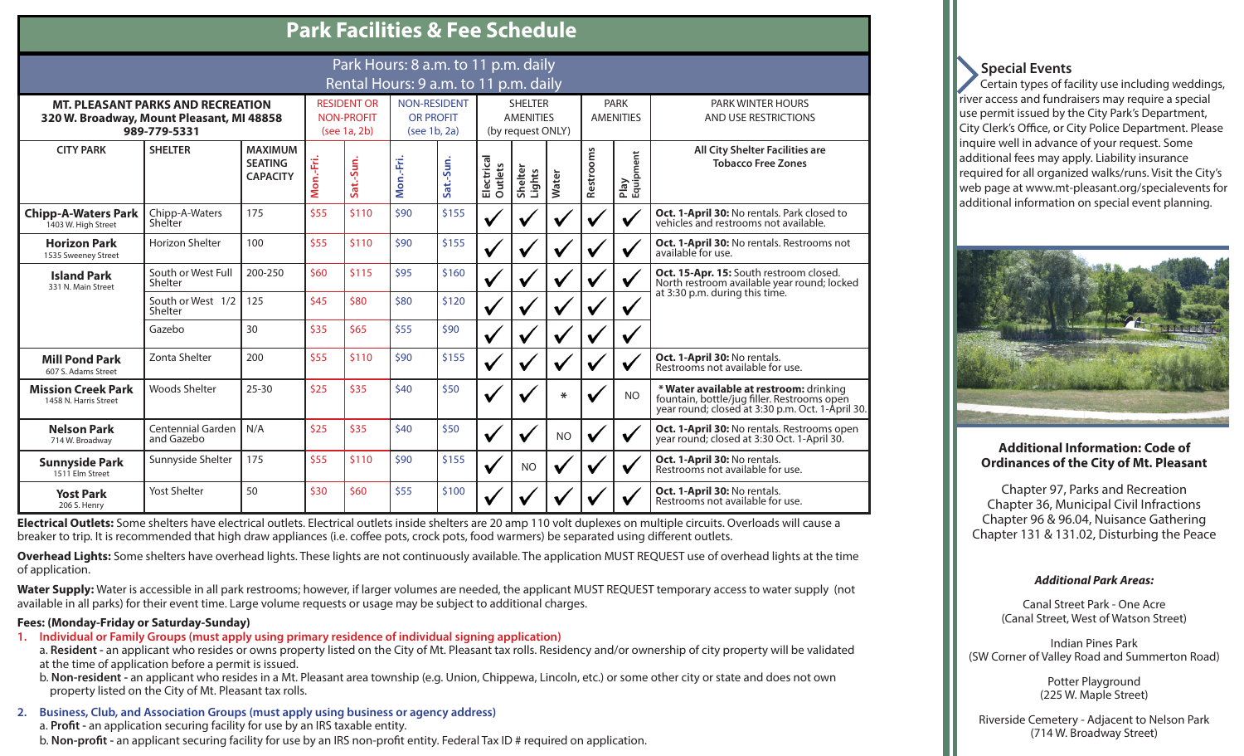| F AIR FACILITIES & FEE SCIIEUUIE                                                                      |                                        |                                                     |                                                         |           |                                                         |           |                                                         |                   |           |                                 |                   |                                                                                                                                            |
|-------------------------------------------------------------------------------------------------------|----------------------------------------|-----------------------------------------------------|---------------------------------------------------------|-----------|---------------------------------------------------------|-----------|---------------------------------------------------------|-------------------|-----------|---------------------------------|-------------------|--------------------------------------------------------------------------------------------------------------------------------------------|
| Park Hours: 8 a.m. to 11 p.m. daily<br>Rental Hours: 9 a.m. to 11 p.m. daily                          |                                        |                                                     |                                                         |           |                                                         |           |                                                         |                   |           |                                 |                   |                                                                                                                                            |
| <b>MT. PLEASANT PARKS AND RECREATION</b><br>320 W. Broadway, Mount Pleasant, MI 48858<br>989-779-5331 |                                        |                                                     | <b>RESIDENT OR</b><br><b>NON-PROFIT</b><br>(see 1a, 2b) |           | <b>NON-RESIDENT</b><br><b>OR PROFIT</b><br>(see 1b, 2a) |           | <b>SHELTER</b><br><b>AMENITIES</b><br>(by request ONLY) |                   |           | <b>PARK</b><br><b>AMENITIES</b> |                   | <b>PARK WINTER HOURS</b><br><b>AND USE RESTRICTIONS</b>                                                                                    |
| <b>CITY PARK</b>                                                                                      | <b>SHELTER</b>                         | <b>MAXIMUM</b><br><b>SEATING</b><br><b>CAPACITY</b> | Mon.-Fri.                                               | Sat.-Sun. | Mon.-Fri.                                               | Sat.-Sun. | Electrical<br>Outlets                                   | Shelter<br>Lights | Water     | Restrooms                       | Play<br>Equipment | All City Shelter Facilities are<br><b>Tobacco Free Zones</b>                                                                               |
| <b>Chipp-A-Waters Park</b><br>1403 W. High Street                                                     | Chipp-A-Waters<br>Shelter              | 175                                                 | \$55                                                    | \$110     | \$90                                                    | \$155     | V                                                       |                   |           |                                 |                   | Oct. 1-April 30: No rentals. Park closed to<br>vehicles and restrooms not available.                                                       |
| <b>Horizon Park</b><br>1535 Sweeney Street                                                            | Horizon Shelter                        | 100                                                 | \$55                                                    | \$110     | \$90                                                    | \$155     | V                                                       |                   |           |                                 |                   | Oct. 1-April 30: No rentals. Restrooms not<br>available for use.                                                                           |
| <b>Island Park</b><br>331 N. Main Street                                                              | South or West Full<br>Shelter          | 200-250                                             | \$60                                                    | \$115     | \$95                                                    | \$160     | $\checkmark$                                            | V                 |           | V                               | $\checkmark$      | Oct. 15-Apr. 15: South restroom closed.<br>North restroom available year round; locked<br>at 3:30 p.m. during this time.                   |
|                                                                                                       | South or West 1/2<br>Shelter           | 125                                                 | \$45                                                    | \$80      | \$80                                                    | \$120     | $\checkmark$                                            |                   |           | V                               | V                 |                                                                                                                                            |
|                                                                                                       | Gazebo                                 | 30                                                  | \$35                                                    | \$65      | \$55                                                    | \$90      | V                                                       |                   |           | V                               | V                 |                                                                                                                                            |
| <b>Mill Pond Park</b><br>607 S. Adams Street                                                          | Zonta Shelter                          | 200                                                 | \$55                                                    | \$110     | \$90                                                    | \$155     | V                                                       |                   |           | V                               | V                 | Oct. 1-April 30: No rentals.<br>Restrooms not available for use.                                                                           |
| <b>Mission Creek Park</b><br>1458 N. Harris Street                                                    | <b>Woods Shelter</b>                   | $25 - 30$                                           | \$25                                                    | \$35      | \$40                                                    | \$50      | V                                                       |                   | *         | V                               | <b>NO</b>         | * Water available at restroom: drinking<br>fountain, bottle/jug filler. Restrooms open<br>year round; closed at 3:30 p.m. Oct. 1-April 30. |
| <b>Nelson Park</b><br>714 W. Broadway                                                                 | <b>Centennial Garden</b><br>and Gazebo | N/A                                                 | \$25                                                    | \$35      | \$40                                                    | \$50      | V                                                       |                   | <b>NO</b> | V                               |                   | Oct. 1-April 30: No rentals. Restrooms open<br>year round; closed at 3:30 Oct. 1-April 30.                                                 |
| <b>Sunnyside Park</b><br>1511 Elm Street                                                              | Sunnyside Shelter                      | 175                                                 | \$55                                                    | \$110     | \$90                                                    | \$155     | V                                                       | <b>NO</b>         | V         | V                               |                   | Oct. 1-April 30: No rentals.<br>Restrooms not available for use.                                                                           |
| <b>Yost Park</b><br>206 S. Henry                                                                      | <b>Yost Shelter</b>                    | 50                                                  | \$30                                                    | \$60      | \$55                                                    | \$100     |                                                         |                   |           |                                 |                   | Oct. 1-April 30: No rentals.<br>Restrooms not available for use.                                                                           |

 **Park Facilities & Fee Schedule**

**Electrical Outlets:** Some shelters have electrical outlets. Electrical outlets inside shelters are 20 amp 110 volt duplexes on multiple circuits. Overloads will cause a breaker to trip. It is recommended that high draw appliances (i.e. coffee pots, crock pots, food warmers) be separated using different outlets.

**Overhead Lights:** Some shelters have overhead lights. These lights are not continuously available. The application MUST REQUEST use of overhead lights at the time of application.

Water Supply: Water is accessible in all park restrooms; however, if larger volumes are needed, the applicant MUST REQUEST temporary access to water supply (not available in all parks) for their event time. Large volume requests or usage may be subject to additional charges.

#### **Fees: (Monday-Friday or Saturday-Sunday)**

**1. Individual or Family Groups (must apply using primary residence of individual signing application)**

a. **Resident -** an applicant who resides or owns property listed on the City of Mt. Pleasant tax rolls. Residency and/or ownership of city property will be validated at the time of application before a permit is issued.

b. **Non-resident -** an applicant who resides in a Mt. Pleasant area township (e.g. Union, Chippewa, Lincoln, etc.) or some other city or state and does not own property listed on the City of Mt. Pleasant tax rolls.

**2. Business, Club, and Association Groups (must apply using business or agency address)**

a. **Profit -** an application securing facility for use by an IRS taxable entity.

b. **Non-profit -** an applicant securing facility for use by an IRS non-profit entity. Federal Tax ID # required on application.

## **Special Events**

 Certain types of facility use including weddings, river access and fundraisers may require a special use permit issued by the City Park's Department, City Clerk's Office, or City Police Department. Please inquire well in advance of your request. Some additional fees may apply. Liability insurance required for all organized walks/runs. Visit the City's web page at www.mt-pleasant.org/specialevents for additional information on special event planning.



#### **Additional Information: Code of Ordinances of the City of Mt. Pleasant**

Chapter 97, Parks and Recreation Chapter 36, Municipal Civil Infractions Chapter 96 & 96.04, Nuisance Gathering Chapter 131 & 131.02, Disturbing the Peace

#### *Additional Park Areas:*

Canal Street Park - One Acre (Canal Street, West of Watson Street)

Indian Pines Park (SW Corner of Valley Road and Summerton Road)

> Potter Playground (225 W. Maple Street)

Riverside Cemetery - Adjacent to Nelson Park (714 W. Broadway Street)